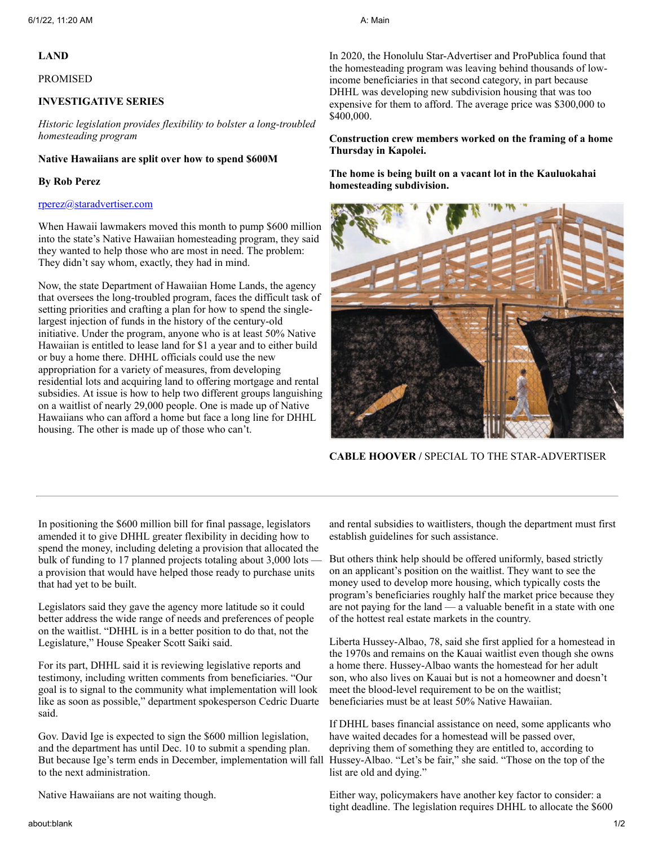# **LAND**

#### PROMISED

# **INVESTIGATIVE SERIES**

*Historic legislation provides flexibility to bolster a long-troubled homesteading program*

# **Native Hawaiians are split over how to spend \$600M**

## **By Rob Perez**

## [rperez@staradvertiser.com](mailto:rperez@staradvertiser.com)

When Hawaii lawmakers moved this month to pump \$600 million into the state's Native Hawaiian homesteading program, they said they wanted to help those who are most in need. The problem: They didn't say whom, exactly, they had in mind.

Now, the state Department of Hawaiian Home Lands, the agency that oversees the long-troubled program, faces the difficult task of setting priorities and crafting a plan for how to spend the singlelargest injection of funds in the history of the century-old initiative. Under the program, anyone who is at least 50% Native Hawaiian is entitled to lease land for \$1 a year and to either build or buy a home there. DHHL officials could use the new appropriation for a variety of measures, from developing residential lots and acquiring land to offering mortgage and rental subsidies. At issue is how to help two different groups languishing on a waitlist of nearly 29,000 people. One is made up of Native Hawaiians who can afford a home but face a long line for DHHL housing. The other is made up of those who can't.

In 2020, the Honolulu Star-Advertiser and ProPublica found that the homesteading program was leaving behind thousands of lowincome beneficiaries in that second category, in part because DHHL was developing new subdivision housing that was too expensive for them to afford. The average price was \$300,000 to \$400,000.

**Construction crew members worked on the framing of a home Thursday in Kapolei.**

**The home is being built on a vacant lot in the Kauluokahai homesteading subdivision.**



**CABLE HOOVER /** SPECIAL TO THE STAR-ADVERTISER

In positioning the \$600 million bill for final passage, legislators amended it to give DHHL greater flexibility in deciding how to spend the money, including deleting a provision that allocated the bulk of funding to 17 planned projects totaling about 3,000 lots a provision that would have helped those ready to purchase units that had yet to be built.

Legislators said they gave the agency more latitude so it could better address the wide range of needs and preferences of people on the waitlist. "DHHL is in a better position to do that, not the Legislature," House Speaker Scott Saiki said.

For its part, DHHL said it is reviewing legislative reports and testimony, including written comments from beneficiaries. "Our goal is to signal to the community what implementation will look like as soon as possible," department spokesperson Cedric Duarte said.

Gov. David Ige is expected to sign the \$600 million legislation, and the department has until Dec. 10 to submit a spending plan. But because Ige's term ends in December, implementation will fall to the next administration.

Native Hawaiians are not waiting though.

and rental subsidies to waitlisters, though the department must first establish guidelines for such assistance.

But others think help should be offered uniformly, based strictly on an applicant's position on the waitlist. They want to see the money used to develop more housing, which typically costs the program's beneficiaries roughly half the market price because they are not paying for the land — a valuable benefit in a state with one of the hottest real estate markets in the country.

Liberta Hussey-Albao, 78, said she first applied for a homestead in the 1970s and remains on the Kauai waitlist even though she owns a home there. Hussey-Albao wants the homestead for her adult son, who also lives on Kauai but is not a homeowner and doesn't meet the blood-level requirement to be on the waitlist; beneficiaries must be at least 50% Native Hawaiian.

If DHHL bases financial assistance on need, some applicants who have waited decades for a homestead will be passed over, depriving them of something they are entitled to, according to Hussey-Albao. "Let's be fair," she said. "Those on the top of the list are old and dying."

Either way, policymakers have another key factor to consider: a tight deadline. The legislation requires DHHL to allocate the \$600